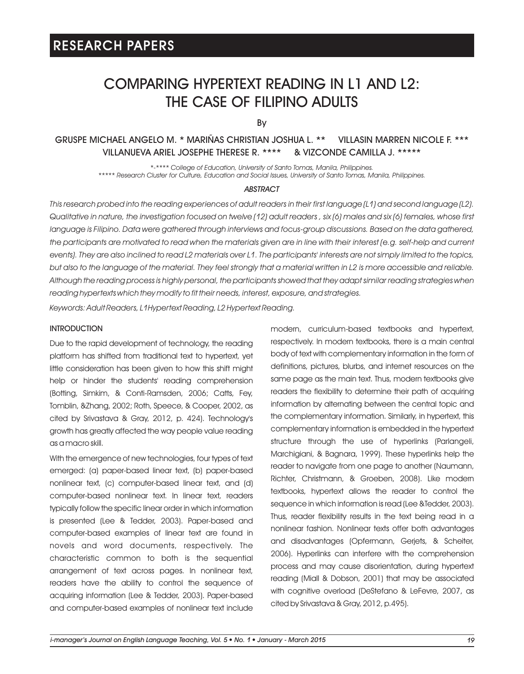### COMPARING HYPERTEXT READING IN L1 AND L2: THE CASE OF FILIPINO ADULTS

By

### GRUSPE MICHAEL ANGELO M. \* MARIÑAS CHRISTIAN JOSHUA L. \*\* VILLASIN MARREN NICOLE F. \*\*\* VILLANUEVA ARIEL JOSEPHE THERESE R. \*\*\*\* & VIZCONDE CAMILLA J. \*\*\*\*\*

*\*-\*\*\*\* College of Education, University of Santo Tomas, Manila, Philippines. \*\*\*\*\* Research Cluster for Culture, Education and Social Issues, University of Santo Tomas, Manila, Philippines.*

#### *ABSTRACT*

*This research probed into the reading experiences of adult readers in their first language (L1) and second language (L2). Qualitative in nature, the investigation focused on twelve (12) adult readers , six (6) males and six (6) females, whose first*  language is Filipino. Data were gathered through interviews and focus-group discussions. Based on the data gathered, the participants are motivated to read when the materials given are in line with their interest (e.g. self-help and current *events). They are also inclined to read L2 materials over L1. The participants' interests are not simply limited to the topics, but also to the language of the material. They feel strongly that a material written in L2 is more accessible and reliable. Although the reading process is highly personal, the participants showed that they adapt similar reading strategies when reading hypertexts which they modify to fit their needs, interest, exposure, and strategies.*

*Keywords: Adult Readers, L1Hypertext Reading, L2 Hypertext Reading.*

### **INTRODUCTION**

Due to the rapid development of technology, the reading platform has shifted from traditional text to hypertext, yet little consideration has been given to how this shift might help or hinder the students' reading comprehension (Botting, Simkim, & Conti-Ramsden, 2006; Catts, Fey, Tomblin, &Zhang, 2002; Roth, Speece, & Cooper, 2002, as cited by Srivastava & Gray, 2012, p. 424). Technology's growth has greatly affected the way people value reading as a macro skill.

With the emergence of new technologies, four types of text emerged: (a) paper-based linear text, (b) paper-based nonlinear text, (c) computer-based linear text, and (d) computer-based nonlinear text. In linear text, readers typically follow the specific linear order in which information is presented (Lee & Tedder, 2003). Paper-based and computer-based examples of linear text are found in novels and word documents, respectively. The characteristic common to both is the sequential arrangement of text across pages. In nonlinear text, readers have the ability to control the sequence of acquiring information (Lee & Tedder, 2003). Paper-based and computer-based examples of nonlinear text include

modern, curriculum-based textbooks and hypertext, respectively. In modern textbooks, there is a main central body of text with complementary information in the form of definitions, pictures, blurbs, and internet resources on the same page as the main text. Thus, modern textbooks give readers the flexibility to determine their path of acquiring information by alternating between the central topic and the complementary information. Similarly, in hypertext, this complementary information is embedded in the hypertext structure through the use of hyperlinks (Parlangeli, Marchigiani, & Bagnara, 1999). These hyperlinks help the reader to navigate from one page to another (Naumann, Richter, Christmann, & Groeben, 2008). Like modern textbooks, hypertext allows the reader to control the sequence in which information is read (Lee &Tedder, 2003). Thus, reader flexibility results in the text being read in a nonlinear fashion. Nonlinear texts offer both advantages and disadvantages (Opfermann, Gerjets, & Scheiter, 2006). Hyperlinks can interfere with the comprehension process and may cause disorientation, during hypertext reading (Miall & Dobson, 2001) that may be associated with cognitive overload (DeStefano & LeFevre, 2007, as cited by Srivastava & Gray, 2012, p.495).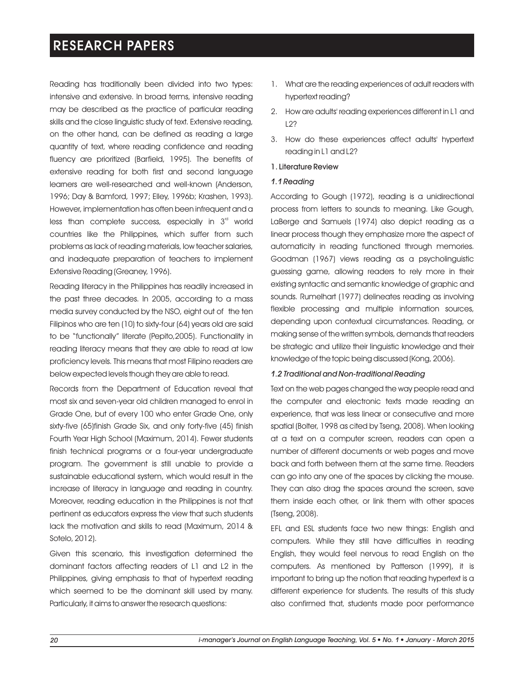Reading has traditionally been divided into two types: intensive and extensive. In broad terms, intensive reading may be described as the practice of particular reading skills and the close linguistic study of text. Extensive reading, on the other hand, can be defined as reading a large quantity of text, where reading confidence and reading fluency are prioritized (Barfield, 1995). The benefits of extensive reading for both first and second language learners are well-researched and well-known (Anderson, 1996; Day & Bamford, 1997; Elley, 1996b; Krashen, 1993). However, implementation has often been infrequent and a less than complete success, especially in  $3<sup>rd</sup>$  world countries like the Philippines, which suffer from such problems as lack of reading materials, low teacher salaries, and inadequate preparation of teachers to implement Extensive Reading (Greaney, 1996).

Reading literacy in the Philippines has readily increased in the past three decades. In 2005, according to a mass media survey conducted by the NSO, eight out of the ten Filipinos who are ten (10) to sixty-four (64) years old are said to be "functionally" literate (Pepito,2005). Functionality in reading literacy means that they are able to read at low proficiency levels. This means that most Filipino readers are below expected levels though they are able to read.

Records from the Department of Education reveal that most six and seven-year old children managed to enrol in Grade One, but of every 100 who enter Grade One, only sixty-five (65)finish Grade Six, and only forty-five (45) finish Fourth Year High School (Maximum, 2014). Fewer students finish technical programs or a four-year undergraduate program. The government is still unable to provide a sustainable educational system, which would result in the increase of literacy in language and reading in country. Moreover, reading education in the Philippines is not that pertinent as educators express the view that such students lack the motivation and skills to read (Maximum, 2014 & Sotelo, 2012).

Given this scenario, this investigation determined the dominant factors affecting readers of L1 and L2 in the Philippines, giving emphasis to that of hypertext reading which seemed to be the dominant skill used by many. Particularly, it aims to answer the research questions:

- 1. What are the reading experiences of adult readers with hypertext reading?
- 2. How are adults' reading experiences different in L1 and  $122$
- 3. How do these experiences affect adults' hypertext reading in L1 and L2?

### 1. Literature Review

#### *1.1 Reading*

According to Gough (1972), reading is a unidirectional process from letters to sounds to meaning. Like Gough, LaBerge and Samuels (1974) also depict reading as a linear process though they emphasize more the aspect of automaticity in reading functioned through memories. Goodman (1967) views reading as a psycholinguistic guessing game, allowing readers to rely more in their existing syntactic and semantic knowledge of graphic and sounds. Rumelhart (1977) delineates reading as involving flexible processing and multiple information sources, depending upon contextual circumstances. Reading, or making sense of the written symbols, demands that readers be strategic and utilize their linguistic knowledge and their knowledge of the topic being discussed (Kong, 2006).

### *1.2 Traditional and Non-traditional Reading*

Text on the web pages changed the way people read and the computer and electronic texts made reading an experience, that was less linear or consecutive and more spatial (Bolter, 1998 as cited by Tseng, 2008). When looking at a text on a computer screen, readers can open a number of different documents or web pages and move back and forth between them at the same time. Readers can go into any one of the spaces by clicking the mouse. They can also drag the spaces around the screen, save them inside each other, or link them with other spaces (Tseng, 2008).

EFL and ESL students face two new things: English and computers. While they still have difficulties in reading English, they would feel nervous to read English on the computers. As mentioned by Patterson (1999), it is important to bring up the notion that reading hypertext is a different experience for students. The results of this study also confirmed that, students made poor performance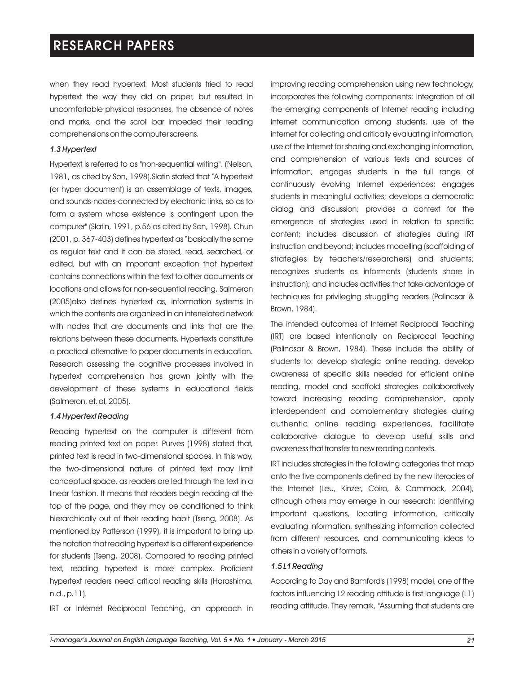when they read hypertext. Most students tried to read hypertext the way they did on paper, but resulted in uncomfortable physical responses, the absence of notes and marks, and the scroll bar impeded their reading comprehensions on the computer screens.

#### *1.3 Hypertext*

Hypertext is referred to as "non-sequential writing". (Nelson, 1981, as cited by Son, 1998).Slatin stated that "A hypertext (or hyper document) is an assemblage of texts, images, and sounds-nodes-connected by electronic links, so as to form a system whose existence is contingent upon the computer" (Slatin, 1991, p.56 as cited by Son, 1998). Chun (2001, p. 367-403) defines hypertext as "basically the same as regular text and it can be stored, read, searched, or edited, but with an important exception that hypertext contains connections within the text to other documents or locations and allows for non-sequential reading. Salmeron (2005)also defines hypertext as, information systems in which the contents are organized in an interrelated network with nodes that are documents and links that are the relations between these documents. Hypertexts constitute a practical alternative to paper documents in education. Research assessing the cognitive processes involved in hypertext comprehension has grown jointly with the development of these systems in educational fields (Salmeron, et. al, 2005).

#### *1.4 Hypertext Reading*

Reading hypertext on the computer is different from reading printed text on paper. Purves (1998) stated that, printed text is read in two-dimensional spaces. In this way, the two-dimensional nature of printed text may limit conceptual space, as readers are led through the text in a linear fashion. It means that readers begin reading at the top of the page, and they may be conditioned to think hierarchically out of their reading habit (Tseng, 2008). As mentioned by Patterson (1999), it is important to bring up the notation that reading hypertext is a different experience for students (Tseng, 2008). Compared to reading printed text, reading hypertext is more complex. Proficient hypertext readers need critical reading skills (Harashima, n.d., p.11).

IRT or Internet Reciprocal Teaching, an approach in

improving reading comprehension using new technology, incorporates the following components: integration of all the emerging components of Internet reading including internet communication among students, use of the internet for collecting and critically evaluating information, use of the Internet for sharing and exchanging information, and comprehension of various texts and sources of information; engages students in the full range of continuously evolving Internet experiences; engages students in meaningful activities; develops a democratic dialog and discussion; provides a context for the emergence of strategies used in relation to specific content; includes discussion of strategies during IRT instruction and beyond; includes modelling (scaffolding of strategies by teachers/researchers) and students; recognizes students as informants (students share in instruction); and includes activities that take advantage of techniques for privileging struggling readers (Palincsar & Brown, 1984).

The intended outcomes of Internet Reciprocal Teaching (IRT) are based intentionally on Reciprocal Teaching (Palincsar & Brown, 1984). These include the ability of students to: develop strategic online reading, develop awareness of specific skills needed for efficient online reading, model and scaffold strategies collaboratively toward increasing reading comprehension, apply interdependent and complementary strategies during authentic online reading experiences, facilitate collaborative dialogue to develop useful skills and awareness that transfer to new reading contexts.

IRT includes strategies in the following categories that map onto the five components defined by the new literacies of the Internet (Leu, Kinzer, Coiro, & Cammack, 2004), although others may emerge in our research: identifying important questions, locating information, critically evaluating information, synthesizing information collected from different resources, and communicating ideas to others in a variety of formats.

### *1.5 L1 Reading*

According to Day and Bamford's (1998) model, one of the factors influencing L2 reading attitude is first language (L1) reading attitude. They remark, "Assuming that students are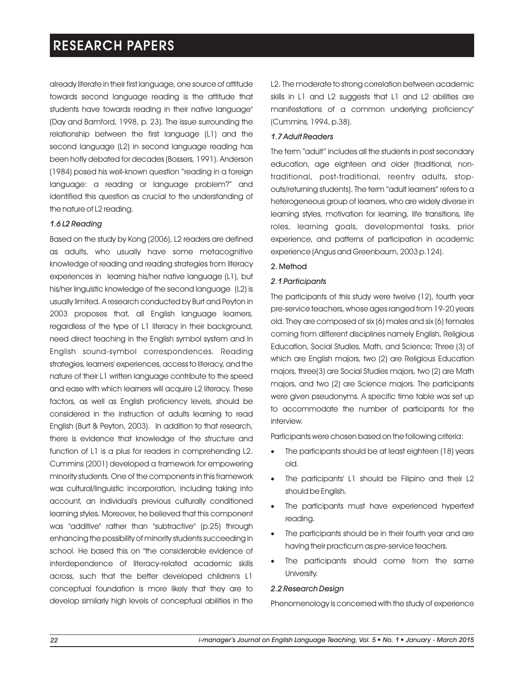already literate in their first language, one source of attitude towards second language reading is the attitude that students have towards reading in their native language" (Day and Bamford, 1998, p. 23). The issue surrounding the relationship between the first language (L1) and the second language (L2) in second language reading has been hotly debated for decades (Bossers, 1991). Anderson (1984) posed his well-known question "reading in a foreign language: a reading or language problem?" and identified this question as crucial to the understanding of the nature of L2 reading.

### *1.6 L2 Reading*

Based on the study by Kong (2006), L2 readers are defined as adults, who usually have some metacognitive knowledge of reading and reading strategies from literacy experiences in learning his/her native language (L1), but his/her linguistic knowledge of the second language (L2) is usually limited. A research conducted by Burt and Peyton in 2003 proposes that, all English language learners, regardless of the type of L1 literacy in their background, need direct teaching in the English symbol system and in English sound-symbol correspondences. Reading strategies, learners' experiences, access to literacy, and the nature of their L1 written language contribute to the speed and ease with which learners will acquire L2 literacy. These factors, as well as English proficiency levels, should be considered in the instruction of adults learning to read English (Burt & Peyton, 2003). In addition to that research, there is evidence that knowledge of the structure and function of L1 is a plus for readers in comprehending L2. Cummins (2001) developed a framework for empowering minority students. One of the components in this framework was cultural/linguistic incorporation, including taking into account, an individual's previous culturally conditioned learning styles. Moreover, he believed that this component was "additive" rather than "subtractive" (p.25) through enhancing the possibility of minority students succeeding in school. He based this on "the considerable evidence of interdependence of literacy-related academic skills across, such that the better developed children's L1 conceptual foundation is more likely that they are to develop similarly high levels of conceptual abilities in the

L2. The moderate to strong correlation between academic skills in L1 and L2 suggests that L1 and L2 abilities are manifestations of a common underlying proficiency" (Cummins, 1994, p.38).

#### *1.7 Adult Readers*

The term "adult" includes all the students in post secondary education, age eighteen and older (traditional, nontraditional, post-traditional, reentry adults, stopouts/returning students). The term "adult learners" refers to a heterogeneous group of learners, who are widely diverse in learning styles, motivation for learning, life transitions, life roles, learning goals, developmental tasks, prior experience, and patterns of participation in academic experience (Angus and Greenbaum, 2003 p.124).

#### 2. Method

#### *2.1 Participants*

The participants of this study were twelve (12), fourth year pre-service teachers, whose ages ranged from 19-20 years old. They are composed of six (6) males and six (6) females coming from different disciplines namely English, Religious Education, Social Studies, Math, and Science; Three (3) of which are English majors, two (2) are Religious Education majors, three(3) are Social Studies majors, two (2) are Math majors, and two (2) are Science majors. The participants were given pseudonyms. A specific time table was set up to accommodate the number of participants for the interview.

Participants were chosen based on the following criteria:

- The participants should be at least eighteen (18) years old.
- The participants' L1 should be Filipino and their L2 should be English.
- ·The participants must have experienced hypertext reading.
- ·The participants should be in their fourth year and are having their practicum as pre-service teachers.
- The participants should come from the same University.

#### *2.2 Research Design*

Phenomenology is concerned with the study of experience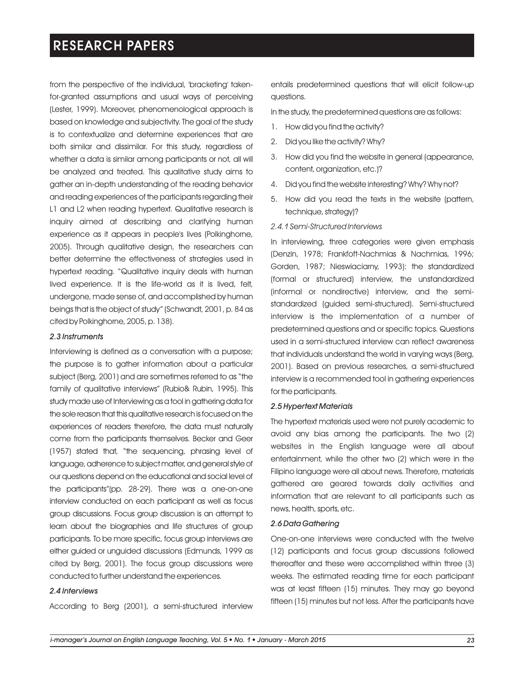from the perspective of the individual, 'bracketing' takenfor-granted assumptions and usual ways of perceiving (Lester, 1999). Moreover, phenomenological approach is based on knowledge and subjectivity. The goal of the study is to contextualize and determine experiences that are both similar and dissimilar. For this study, regardless of whether a data is similar among participants or not, all will be analyzed and treated. This qualitative study aims to gather an in-depth understanding of the reading behavior and reading experiences of the participants regarding their L1 and L2 when reading hypertext. Qualitative research is inquiry aimed at describing and clarifying human experience as it appears in people's lives (Polkinghorne, 2005). Through qualitative design, the researchers can better determine the effectiveness of strategies used in hypertext reading. "Qualitative inquiry deals with human lived experience. It is the life-world as it is lived, felt, undergone, made sense of, and accomplished by human beings that is the object of study" (Schwandt, 2001, p. 84 as cited by Polkinghorne, 2005, p. 138).

#### *2.3 Instruments*

Interviewing is defined as a conversation with a purpose; the purpose is to gather information about a particular subject (Berg, 2001) and are sometimes referred to as "the family of qualitative interviews" (Rubio& Rubin, 1995). This study made use of Interviewing as a tool in gathering data for the sole reason that this qualitative research is focused on the experiences of readers therefore, the data must naturally come from the participants themselves. Becker and Geer (1957) stated that, "the sequencing, phrasing level of language, adherence to subject matter, and general style of our questions depend on the educational and social level of the participants"(pp. 28-29). There was a one-on-one interview conducted on each participant as well as focus group discussions. Focus group discussion is an attempt to learn about the biographies and life structures of group participants. To be more specific, focus group interviews are either guided or unguided discussions (Edmunds, 1999 as cited by Berg, 2001). The focus group discussions were conducted to further understand the experiences.

#### *2.4 Interviews*

According to Berg (2001), a semi-structured interview

entails predetermined questions that will elicit follow-up questions.

In the study, the predetermined questions are as follows:

- 1. How did you find the activity?
- 2. Did you like the activity? Why?
- 3. How did you find the website in general (appearance, content, organization, etc.)?
- 4. Did you find the website interesting? Why? Why not?
- 5. How did you read the texts in the website (pattern, technique, strategy)?

#### *2.4.1 Semi-Structured Interviews*

In interviewing, three categories were given emphasis (Denzin, 1978; Frankfoft-Nachmias & Nachmias, 1996; Gorden, 1987; Nieswiaciarny, 1993): the standardized (formal or structured) interview, the unstandardized (informal or nondirective) interview, and the semistandardized (guided semi-structured). Semi-structured interview is the implementation of a number of predetermined questions and or specific topics. Questions used in a semi-structured interview can reflect awareness that individuals understand the world in varying ways (Berg, 2001). Based on previous researches, a semi-structured interview is a recommended tool in gathering experiences for the participants.

#### *2.5 Hypertext Materials*

The hypertext materials used were not purely academic to avoid any bias among the participants. The two (2) websites in the English language were all about entertainment, while the other two (2) which were in the Filipino language were all about news. Therefore, materials gathered are geared towards daily activities and information that are relevant to all participants such as news, health, sports, etc.

#### *2.6 Data Gathering*

One-on-one interviews were conducted with the twelve (12) participants and focus group discussions followed thereafter and these were accomplished within three (3) weeks. The estimated reading time for each participant was at least fifteen (15) minutes. They may go beyond fifteen (15) minutes but not less. After the participants have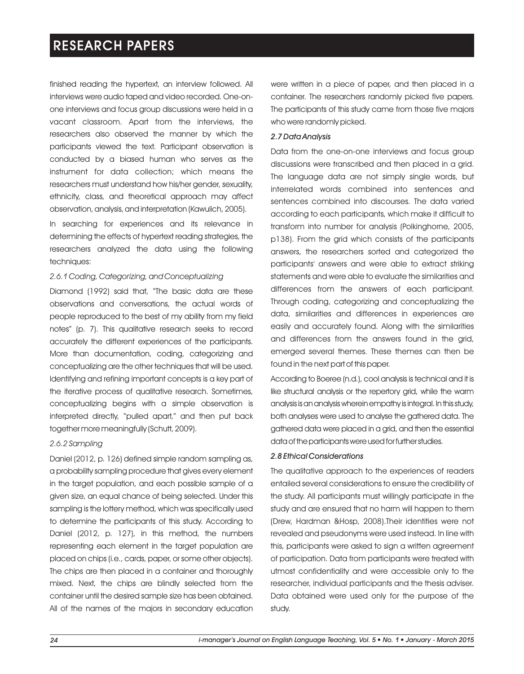finished reading the hypertext, an interview followed. All interviews were audio taped and video recorded. One-onone interviews and focus group discussions were held in a vacant classroom. Apart from the interviews, the researchers also observed the manner by which the participants viewed the text. Participant observation is conducted by a biased human who serves as the instrument for data collection; which means the researchers must understand how his/her gender, sexuality, ethnicity, class, and theoretical approach may affect observation, analysis, and interpretation (Kawulich, 2005).

In searching for experiences and its relevance in determining the effects of hypertext reading strategies, the researchers analyzed the data using the following techniques:

#### *2.6.1 Coding, Categorizing, and Conceptualizing*

Diamond (1992) said that, "The basic data are these observations and conversations, the actual words of people reproduced to the best of my ability from my field notes" (p. 7). This qualitative research seeks to record accurately the different experiences of the participants. More than documentation, coding, categorizing and conceptualizing are the other techniques that will be used. Identifying and refining important concepts is a key part of the iterative process of qualitative research. Sometimes, conceptualizing begins with a simple observation is interpreted directly, "pulled apart," and then put back together more meaningfully (Schutt, 2009).

#### *2.6.2 Sampling*

Daniel (2012, p. 126) defined simple random sampling as, a probability sampling procedure that gives every element in the target population, and each possible sample of a given size, an equal chance of being selected. Under this sampling is the lottery method, which was specifically used to determine the participants of this study. According to Daniel (2012, p. 127), in this method, the numbers representing each element in the target population are placed on chips (i.e., cards, paper, or some other objects). The chips are then placed in a container and thoroughly mixed. Next, the chips are blindly selected from the container until the desired sample size has been obtained. All of the names of the majors in secondary education

were written in a piece of paper, and then placed in a container. The researchers randomly picked five papers. The participants of this study came from those five majors who were randomly picked.

#### *2.7 Data Analysis*

Data from the one-on-one interviews and focus group discussions were transcribed and then placed in a grid. The language data are not simply single words, but interrelated words combined into sentences and sentences combined into discourses. The data varied according to each participants, which make it difficult to transform into number for analysis (Polkinghorne, 2005, p138). From the grid which consists of the participants answers, the researchers sorted and categorized the participants' answers and were able to extract striking statements and were able to evaluate the similarities and differences from the answers of each participant. Through coding, categorizing and conceptualizing the data, similarities and differences in experiences are easily and accurately found. Along with the similarities and differences from the answers found in the grid, emerged several themes. These themes can then be found in the next part of this paper.

According to Boeree (n.d.), cool analysis is technical and it is like structural analysis or the repertory grid, while the warm analysis is an analysis wherein empathy is integral. In this study, both analyses were used to analyse the gathered data. The gathered data were placed in a grid, and then the essential data of the participants were used for further studies.

### *2.8 Ethical Considerations*

The qualitative approach to the experiences of readers entailed several considerations to ensure the credibility of the study. All participants must willingly participate in the study and are ensured that no harm will happen to them (Drew, Hardman &Hosp, 2008).Their identities were not revealed and pseudonyms were used instead. In line with this, participants were asked to sign a written agreement of participation. Data from participants were treated with utmost confidentiality and were accessible only to the researcher, individual participants and the thesis adviser. Data obtained were used only for the purpose of the study.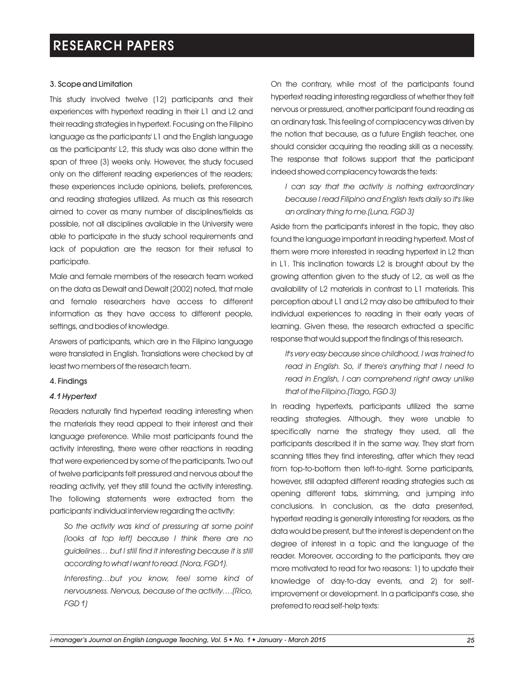### 3. Scope and Limitation

This study involved twelve (12) participants and their experiences with hypertext reading in their L1 and L2 and their reading strategies in hypertext. Focusing on the Filipino language as the participants' L1 and the English language as the participants' L2, this study was also done within the span of three (3) weeks only. However, the study focused only on the different reading experiences of the readers; these experiences include opinions, beliefs, preferences, and reading strategies utilized. As much as this research aimed to cover as many number of disciplines/fields as possible, not all disciplines available in the University were able to participate in the study school requirements and lack of population are the reason for their refusal to participate.

Male and female members of the research team worked on the data as Dewalt and Dewalt (2002) noted, that male and female researchers have access to different information as they have access to different people, settings, and bodies of knowledge.

Answers of participants, which are in the Filipino language were translated in English. Translations were checked by at least two members of the research team.

#### 4. Findings

#### *4.1 Hypertext*

Readers naturally find hypertext reading interesting when the materials they read appeal to their interest and their language preference. While most participants found the activity interesting, there were other reactions in reading that were experienced by some of the participants. Two out of twelve participants felt pressured and nervous about the reading activity, yet they still found the activity interesting. The following statements were extracted from the participants' individual interview regarding the activity:

*So the activity was kind of pressuring at some point (looks at top left) because I think there are no guidelines… but I still find it interesting because it is still according to what I want to read. (Nora, FGD1).*

*Interesting…but you know, feel some kind of nervousness. Nervous, because of the activity….(Rico, FGD 1)* 

On the contrary, while most of the participants found hypertext reading interesting regardless of whether they felt nervous or pressured, another participant found reading as an ordinary task. This feeling of complacency was driven by the notion that because, as a future English teacher, one should consider acquiring the reading skill as a necessity. The response that follows support that the participant indeed showed complacency towards the texts:

*I can say that the activity is nothing extraordinary because I read Filipino and English texts daily so it's like an ordinary thing to me.(Luna, FGD 3)*

Aside from the participant's interest in the topic, they also found the language important in reading hypertext. Most of them were more interested in reading hypertext in L2 than in L1. This inclination towards L2 is brought about by the growing attention given to the study of L2, as well as the availability of L2 materials in contrast to L1 materials. This perception about L1 and L2 may also be attributed to their individual experiences to reading in their early years of learning. Given these, the research extracted a specific response that would support the findings of this research.

*It's very easy because since childhood, I was trained to read in English. So, if there's anything that I need to read in English, I can comprehend right away unlike that of the Filipino.(Tiago, FGD 3)*

In reading hypertexts, participants utilized the same reading strategies. Although, they were unable to specifically name the strategy they used, all the participants described it in the same way. They start from scanning titles they find interesting, after which they read from top-to-bottom then left-to-right. Some participants, however, still adapted different reading strategies such as opening different tabs, skimming, and jumping into conclusions. In conclusion, as the data presented, hypertext reading is generally interesting for readers, as the data would be present, but the interest is dependent on the degree of interest in a topic and the language of the reader. Moreover, according to the participants, they are more motivated to read for two reasons: 1) to update their knowledge of day-to-day events, and 2) for selfimprovement or development. In a participant's case, she preferred to read self-help texts: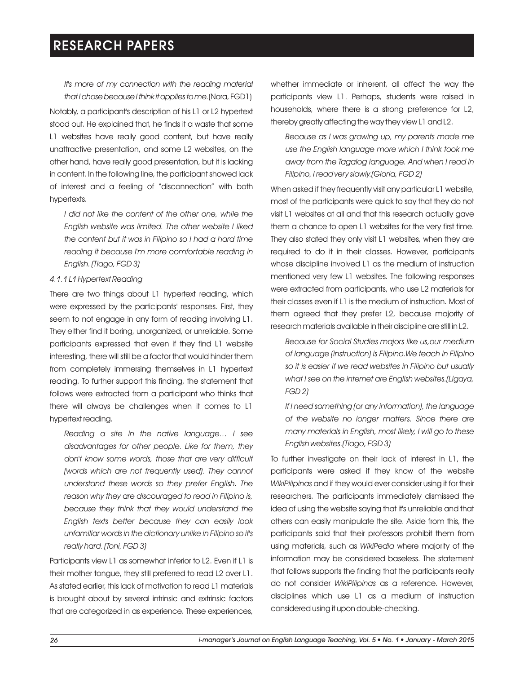*It's more of my connection with the reading material that IchosebecauseI think itappliestome.*(Nora, FGD1)

Notably, a participant's description of his L1 or L2 hypertext stood out. He explained that, he finds it a waste that some L1 websites have really good content, but have really unattractive presentation, and some L2 websites, on the other hand, have really good presentation, but it is lacking in content. In the following line, the participant showed lack of interest and a feeling of "disconnection" with both hypertexts.

*I did not like the content of the other one, while the English website was limited. The other website I liked the content but it was in Filipino so I had a hard time reading it because I'm more comfortable reading in English. (Tiago, FGD 3)*

### *4.1.1 L1 Hypertext Reading*

There are two things about L1 hypertext reading, which were expressed by the participants' responses. First, they seem to not engage in any form of reading involving L1. They either find it boring, unorganized, or unreliable. Some participants expressed that even if they find L1 website interesting, there will still be a factor that would hinder them from completely immersing themselves in L1 hypertext reading. To further support this finding, the statement that follows were extracted from a participant who thinks that there will always be challenges when it comes to L1 hypertext reading.

*Reading a site in the native language… I see disadvantages for other people. Like for them, they don't know some words, those that are very difficult (words which are not frequently used). They cannot understand these words so they prefer English. The reason why they are discouraged to read in Filipino is, because they think that they would understand the English texts better because they can easily look unfamiliar words in the dictionary unlike in Filipino so it's really hard. (Toni, FGD 3)*

Participants view L1 as somewhat inferior to L2. Even if L1 is their mother tongue, they still preferred to read L2 over L1. As stated earlier, this lack of motivation to read L1 materials is brought about by several intrinsic and extrinsic factors that are categorized in as experience. These experiences, whether immediate or inherent, all affect the way the participants view L1. Perhaps, students were raised in households, where there is a strong preference for L2, thereby greatly affecting the way they view L1 and L2.

*Because as I was growing up, my parents made me use the English language more which I think took me away from the Tagalog language. And when I read in Filipino, I read very slowly.(Gloria, FGD 2)*

When asked if they frequently visit any particular L1 website, most of the participants were quick to say that they do not visit L1 websites at all and that this research actually gave them a chance to open L1 websites for the very first time. They also stated they only visit L1 websites, when they are required to do it in their classes. However, participants whose discipline involved L1 as the medium of instruction mentioned very few L1 websites. The following responses were extracted from participants, who use L2 materials for their classes even if L1 is the medium of instruction. Most of them agreed that they prefer L2, because majority of research materials available in their discipline are still in L2.

*Because for Social Studies majors like us,our medium of language (instruction) is Filipino.We teach in Filipino so it is easier if we read websites in Filipino but usually what I see on the internet are English websites.(Ligaya, FGD 2)*

*If I need something (or any information), the language of the website no longer matters. Since there are many materials in English, most likely, I will go to these English websites.(Tiago, FGD 3)*

To further investigate on their lack of interest in L1, the participants were asked if they know of the website *WikiPilipinas* and if they would ever consider using it for their researchers. The participants immediately dismissed the idea of using the website saying that it's unreliable and that others can easily manipulate the site. Aside from this, the participants said that their professors prohibit them from using materials, such as *WikiPedia* where majority of the information may be considered baseless. The statement that follows supports the finding that the participants really do not consider *WikiPilipinas* as a reference. However, disciplines which use L1 as a medium of instruction considered using it upon double-checking.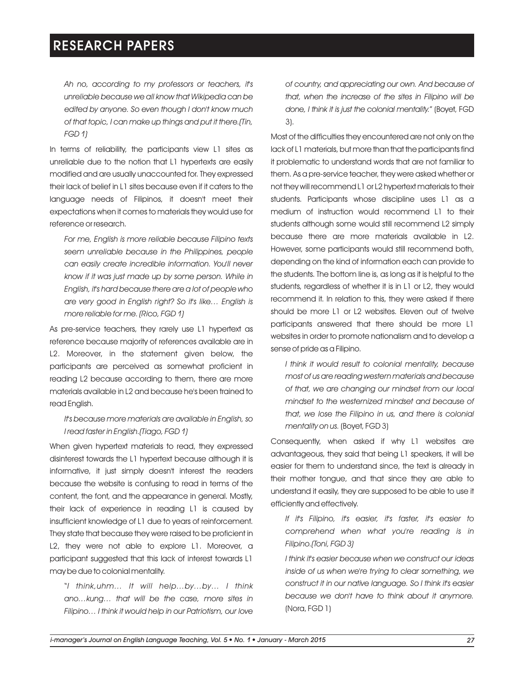*Ah no, according to my professors or teachers, it's unreliable because we all know that Wikipedia can be edited by anyone. So even though I don't know much of that topic, I can make up things and put it there.(Tin, FGD 1)*

In terms of reliability, the participants view L1 sites as unreliable due to the notion that L1 hypertexts are easily modified and are usually unaccounted for. They expressed their lack of belief in L1 sites because even if it caters to the language needs of Filipinos, it doesn't meet their expectations when it comes to materials they would use for reference or research.

*For me, English is more reliable because Filipino texts seem unreliable because in the Philippines, people can easily create incredible information. You'll never know if it was just made up by some person. While in English, it's hard because there are a lot of people who are very good in English right? So it's like… English is more reliable for me. (Rico, FGD 1)*

As pre-service teachers, they rarely use L1 hypertext as reference because majority of references available are in L2. Moreover, in the statement given below, the participants are perceived as somewhat proficient in reading L2 because according to them, there are more materials available in L2 and because he's been trained to read English.

### *It's because more materials are available in English, so I read faster in English.(Tiago, FGD 1)*

When given hypertext materials to read, they expressed disinterest towards the L1 hypertext because although it is informative, it just simply doesn't interest the readers because the website is confusing to read in terms of the content, the font, and the appearance in general. Mostly, their lack of experience in reading L1 is caused by insufficient knowledge of L1 due to years of reinforcement. They state that because they were raised to be proficient in L2, they were not able to explore L1. Moreover, a participant suggested that this lack of interest towards L1 may be due to colonial mentality.

"*I think,uhm… It will help…by…by… I think ano…kung… that will be the case, more sites in Filipino… I think it would help in our Patriotism, our love*  *of country, and appreciating our own. And because of that, when the increase of the sites in Filipino will be done, I think it is just the colonial mentality.*" (Boyet, FGD 3).

Most of the difficulties they encountered are not only on the lack of L1 materials, but more than that the participants find it problematic to understand words that are not familiar to them. As a pre-service teacher, they were asked whether or not they will recommend L1 or L2 hypertext materials to their students. Participants whose discipline uses L1 as a medium of instruction would recommend L1 to their students although some would still recommend L2 simply because there are more materials available in L2. However, some participants would still recommend both, depending on the kind of information each can provide to the students. The bottom line is, as long as it is helpful to the students, regardless of whether it is in L1 or L2, they would recommend it. In relation to this, they were asked if there should be more L1 or L2 websites. Eleven out of twelve participants answered that there should be more L1 websites in order to promote nationalism and to develop a sense of pride as a Filipino.

*I think it would result to colonial mentality, because most of us are reading western materials and because of that, we are changing our mindset from our local mindset to the westernized mindset and because of that, we lose the Filipino in us, and there is colonial mentality on us.* (Boyet, FGD 3)

Consequently, when asked if why L1 websites are advantageous, they said that being L1 speakers, it will be easier for them to understand since, the text is already in their mother tongue, and that since they are able to understand it easily, they are supposed to be able to use it efficiently and effectively.

*If it's Filipino, it's easier, it's faster, it's easier to comprehend when what you're reading is in Filipino.(Toni, FGD 3)*

*I think it's easier because when we construct our ideas inside of us when we're trying to clear something, we construct it in our native language. So I think it's easier because we don't have to think about it anymore.* (Nora, FGD 1)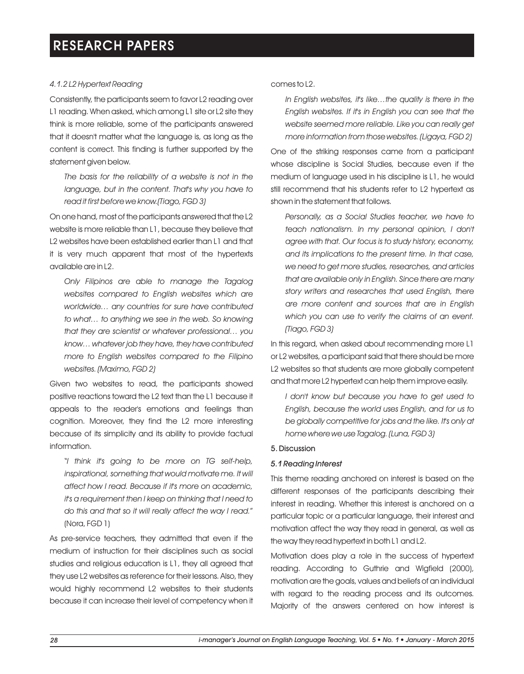### *4.1.2 L2 Hypertext Reading*

Consistently, the participants seem to favor L2 reading over L1 reading. When asked, which among L1 site or L2 site they think is more reliable, some of the participants answered that it doesn't matter what the language is, as long as the content is correct. This finding is further supported by the statement given below.

*The basis for the reliability of a website is not in the language, but in the content. That's why you have to read it first before we know.(Tiago, FGD 3)*

On one hand, most of the participants answered that the L2 website is more reliable than L1, because they believe that L2 websites have been established earlier than L1 and that it is very much apparent that most of the hypertexts available are in L2.

*Only Filipinos are able to manage the Tagalog websites compared to English websites which are worldwide… any countries for sure have contributed to what… to anything we see in the web. So knowing that they are scientist or whatever professional… you know… whatever job they have, they have contributed more to English websites compared to the Filipino websites. (Maximo, FGD 2)*

Given two websites to read, the participants showed positive reactions toward the L2 text than the L1 because it appeals to the reader's emotions and feelings than cognition. Moreover, they find the L2 more interesting because of its simplicity and its ability to provide factual information.

"*I think it's going to be more on TG self-help, inspirational, something that would motivate me. It will affect how I read. Because if it's more on academic, it's a requirement then I keep on thinking that I need to do this and that so it will really affect the way I read.*" (Nora, FGD 1)

As pre-service teachers, they admitted that even if the medium of instruction for their disciplines such as social studies and religious education is L1, they all agreed that they use L2 websites as reference for their lessons. Also, they would highly recommend L2 websites to their students because it can increase their level of competency when it comes to L2.

*In English websites, it's like…the quality is there in the English websites. If it's in English you can see that the website seemed more reliable. Like you can really get more information from those websites. (Ligaya, FGD 2)*

One of the striking responses came from a participant whose discipline is Social Studies, because even if the medium of language used in his discipline is L1, he would still recommend that his students refer to L2 hypertext as shown in the statement that follows.

*Personally, as a Social Studies teacher, we have to teach nationalism. In my personal opinion, I don't agree with that. Our focus is to study history, economy, and its implications to the present time. In that case, we need to get more studies, researches, and articles that are available only in English. Since there are many story writers and researches that used English, there are more content and sources that are in English which you can use to verify the claims of an event. (Tiago, FGD 3)*

In this regard, when asked about recommending more L1 or L2 websites, a participant said that there should be more L2 websites so that students are more globally competent and that more L2 hypertext can help them improve easily.

*I don't know but because you have to get used to English, because the world uses English, and for us to be globally competitive for jobs and the like. It's only at home where we use Tagalog. (Luna, FGD 3)*

### 5. Discussion

### *5.1 Reading Interest*

This theme reading anchored on interest is based on the different responses of the participants describing their interest in reading. Whether this interest is anchored on a particular topic or a particular language, their interest and motivation affect the way they read in general, as well as the way they read hypertext in both L1 and L2.

Motivation does play a role in the success of hypertext reading. According to Guthrie and Wigfield (2000), motivation are the goals, values and beliefs of an individual with regard to the reading process and its outcomes. Majority of the answers centered on how interest is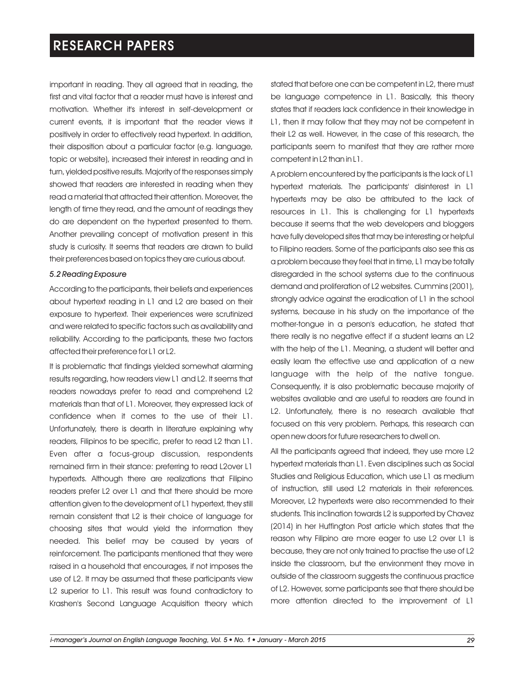important in reading. They all agreed that in reading, the first and vital factor that a reader must have is interest and motivation. Whether it's interest in self-development or current events, it is important that the reader views it positively in order to effectively read hypertext. In addition, their disposition about a particular factor (e.g. language, topic or website), increased their interest in reading and in turn, yielded positive results. Majority of the responses simply showed that readers are interested in reading when they read a material that attracted their attention. Moreover, the length of time they read, and the amount of readings they do are dependent on the hypertext presented to them. Another prevailing concept of motivation present in this study is curiosity. It seems that readers are drawn to build their preferences based on topics they are curious about.

#### *5.2 Reading Exposure*

According to the participants, their beliefs and experiences about hypertext reading in L1 and L2 are based on their exposure to hypertext. Their experiences were scrutinized and were related to specific factors such as availability and reliability. According to the participants, these two factors affected their preference for L1 or L2.

It is problematic that findings yielded somewhat alarming results regarding, how readers view L1 and L2. It seems that readers nowadays prefer to read and comprehend L2 materials than that of L1. Moreover, they expressed lack of confidence when it comes to the use of their L1. Unfortunately, there is dearth in literature explaining why readers, Filipinos to be specific, prefer to read L2 than L1. Even after a focus-group discussion, respondents remained firm in their stance: preferring to read L2over L1 hypertexts. Although there are realizations that Filipino readers prefer L2 over L1 and that there should be more attention given to the development of L1 hypertext, they still remain consistent that L2 is their choice of language for choosing sites that would yield the information they needed. This belief may be caused by years of reinforcement. The participants mentioned that they were raised in a household that encourages, if not imposes the use of L2. It may be assumed that these participants view L2 superior to L1. This result was found contradictory to Krashen's Second Language Acquisition theory which stated that before one can be competent in L2, there must be language competence in L1. Basically, this theory states that if readers lack confidence in their knowledge in L1, then it may follow that they may not be competent in their L2 as well. However, in the case of this research, the participants seem to manifest that they are rather more competent in L2 than in L1.

A problem encountered by the participants is the lack of L1 hypertext materials. The participants' disinterest in L1 hypertexts may be also be attributed to the lack of resources in L1. This is challenging for L1 hypertexts because it seems that the web developers and bloggers have fully developed sites that may be interesting or helpful to Filipino readers. Some of the participants also see this as a problem because they feel that in time, L1 may be totally disregarded in the school systems due to the continuous demand and proliferation of L2 websites. Cummins (2001), strongly advice against the eradication of L1 in the school systems, because in his study on the importance of the mother-tongue in a person's education, he stated that there really is no negative effect if a student learns an L2 with the help of the L1. Meaning, a student will better and easily learn the effective use and application of a new language with the help of the native tongue. Consequently, it is also problematic because majority of websites available and are useful to readers are found in L2. Unfortunately, there is no research available that focused on this very problem. Perhaps, this research can open new doors for future researchers to dwell on.

All the participants agreed that indeed, they use more L2 hypertext materials than L1. Even disciplines such as Social Studies and Religious Education, which use L1 as medium of instruction, still used L2 materials in their references. Moreover, L2 hypertexts were also recommended to their students. This inclination towards L2 is supported by Chavez (2014) in her Huffington Post article which states that the reason why Filipino are more eager to use L2 over L1 is because, they are not only trained to practise the use of L2 inside the classroom, but the environment they move in outside of the classroom suggests the continuous practice of L2. However, some participants see that there should be more attention directed to the improvement of L1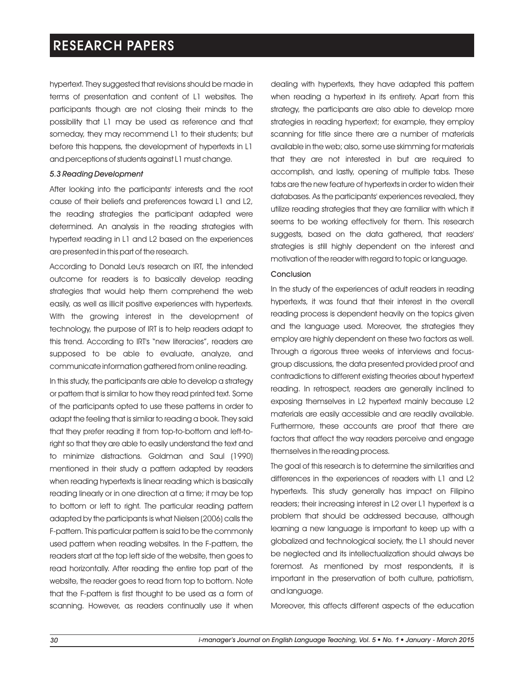hypertext. They suggested that revisions should be made in terms of presentation and content of L1 websites. The participants though are not closing their minds to the possibility that L1 may be used as reference and that someday, they may recommend L1 to their students; but before this happens, the development of hypertexts in L1 and perceptions of students against L1 must change.

### *5.3 Reading Development*

After looking into the participants' interests and the root cause of their beliefs and preferences toward L1 and L2, the reading strategies the participant adapted were determined. An analysis in the reading strategies with hypertext reading in L1 and L2 based on the experiences are presented in this part of the research.

According to Donald Leu's research on IRT, the intended outcome for readers is to basically develop reading strategies that would help them comprehend the web easily, as well as illicit positive experiences with hypertexts. With the growing interest in the development of technology, the purpose of IRT is to help readers adapt to this trend. According to IRT's "new literacies", readers are supposed to be able to evaluate, analyze, and communicate information gathered from online reading.

In this study, the participants are able to develop a strategy or pattern that is similar to how they read printed text. Some of the participants opted to use these patterns in order to adapt the feeling that is similar to reading a book. They said that they prefer reading it from top-to-bottom and left-toright so that they are able to easily understand the text and to minimize distractions. Goldman and Saul (1990) mentioned in their study a pattern adapted by readers when reading hypertexts is linear reading which is basically reading linearly or in one direction at a time; it may be top to bottom or left to right. The particular reading pattern adapted by the participants is what Nielsen (2006) calls the F-pattern. This particular pattern is said to be the commonly used pattern when reading websites. In the F-pattern, the readers start at the top left side of the website, then goes to read horizontally. After reading the entire top part of the website, the reader goes to read from top to bottom. Note that the F-pattern is first thought to be used as a form of scanning. However, as readers continually use it when

dealing with hypertexts, they have adapted this pattern when reading a hypertext in its entirety. Apart from this strategy, the participants are also able to develop more strategies in reading hypertext; for example, they employ scanning for title since there are a number of materials available in the web; also, some use skimming for materials that they are not interested in but are required to accomplish, and lastly, opening of multiple tabs. These tabs are the new feature of hypertexts in order to widen their databases. As the participants' experiences revealed, they utilize reading strategies that they are familiar with which it seems to be working effectively for them. This research suggests, based on the data gathered, that readers' strategies is still highly dependent on the interest and motivation of the reader with regard to topic or language.

### Conclusion

In the study of the experiences of adult readers in reading hypertexts, it was found that their interest in the overall reading process is dependent heavily on the topics given and the language used. Moreover, the strategies they employ are highly dependent on these two factors as well. Through a rigorous three weeks of interviews and focusgroup discussions, the data presented provided proof and contradictions to different existing theories about hypertext reading. In retrospect, readers are generally inclined to exposing themselves in L2 hypertext mainly because L2 materials are easily accessible and are readily available. Furthermore, these accounts are proof that there are factors that affect the way readers perceive and engage themselves in the reading process.

The goal of this research is to determine the similarities and differences in the experiences of readers with L1 and L2 hypertexts. This study generally has impact on Filipino readers; their increasing interest in L2 over L1 hypertext is a problem that should be addressed because, although learning a new language is important to keep up with a globalized and technological society, the L1 should never be neglected and its intellectualization should always be foremost. As mentioned by most respondents, it is important in the preservation of both culture, patriotism, and language.

Moreover, this affects different aspects of the education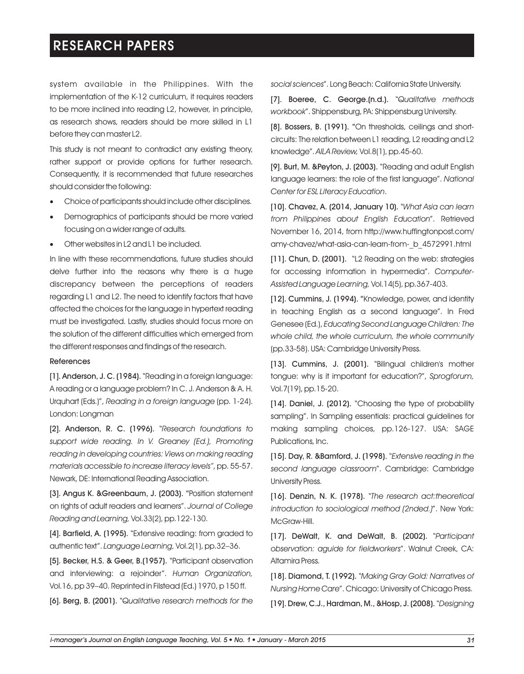system available in the Philippines. With the implementation of the K-12 curriculum, it requires readers to be more inclined into reading L2, however, in principle, as research shows, readers should be more skilled in L1 before they can master L2.

This study is not meant to contradict any existing theory, rather support or provide options for further research. Consequently, it is recommended that future researches should consider the following:

- ·Choice of participants should include other disciplines.
- Demographics of participants should be more varied focusing on a wider range of adults.
- Other websites in L2 and L1 be included.

In line with these recommendations, future studies should delve further into the reasons why there is a huge discrepancy between the perceptions of readers regarding L1 and L2. The need to identify factors that have affected the choices for the language in hypertext reading must be investigated. Lastly, studies should focus more on the solution of the different difficulties which emerged from the different responses and findings of the research.

#### References

[1]. Anderson, J. C. (1984). "Reading in a foreign language: A reading or a language problem? In C. J. Anderson & A. H. Urquhart (Eds.)", *Reading in a foreign language* (pp. 1-24). London: Longman

[2]. Anderson, R. C. (1996). "*Research foundations to support wide reading. In V. Greaney (Ed.), Promoting reading in developing countries: Views on making reading materials accessible to increase literacy levels"*, pp. 55-57. Newark, DE: International Reading Association.

[3]. Angus K. &Greenbaum, J. (2003). "Position statement on rights of adult readers and learners". *Journal of College Reading and Learning,* Vol.33(2), pp.122-130.

[4]. Barfield, A. (1995). "Extensive reading: from graded to authentic text". *Language Learning,* Vol.2(1), pp.32–36.

[5]. Becker, H.S. & Geer, B.(1957). "Participant observation and interviewing: a rejoinder". *Human Organization,* Vol.16, pp 39–40. Reprinted in Filstead (Ed.) 1970, p 150 ff.

[6]. Berg, B. (2001). "*Qualitative research methods for the* 

*social sciences*". Long Beach: California State University.

[7]. Boeree, C. George.(n.d.). "*Qualitative methods workbook*". Shippensburg, PA: Shippensburg University.

[8]. Bossers, B. (1991). "On thresholds, ceilings and shortcircuits: The relation between L1 reading, L2 reading and L2 knowledge". *AILA Review,* Vol.8(1), pp.45-60.

[9]. Burt, M. &Peyton, J. (2003). "Reading and adult English language learners: the role of the first language". *National Center for ESL Literacy Education*.

[10]. Chavez, A. (2014, January 10). "*What Asia can learn from Philippines about English Education*". Retrieved November 16, 2014, from http://www.huffingtonpost.com/ amy-chavez/what-asia-can-learn-from-\_b\_4572991.html

[11]. Chun, D. (2001). "L2 Reading on the web: strategies for accessing information in hypermedia". *Computer-Assisted Language Learning,* Vol.14(5), pp.367-403.

[12]. Cummins, J. (1994). "Knowledge, power, and identity in teaching English as a second language". In Fred Genesee (Ed.), *Educating Second Language Children: The whole child, the whole curriculum, the whole community* (pp.33-58). USA: Cambridge University Press.

[13]. Cummins, J. (2001). "Bilingual children's mother tongue: why is it important for education?", *Sprogforum,*  Vol.7(19), pp.15-20.

[14]. Daniel, J. (2012). "Choosing the type of probability sampling". In Sampling essentials: practical guidelines for making sampling choices, pp.126-127. USA: SAGE Publications, Inc.

[15]. Day, R. &Bamford, J. (1998). "*Extensive reading in the second language classroom*". Cambridge: Cambridge University Press.

[16]. Denzin, N. K. (1978). "*The research act:theoretical introduction to sociological method (2nded.)*". New York: McGraw-Hill.

[17]. DeWalt, K. and DeWalt, B. (2002). "*Participant observation: aguide for fieldworkers*". Walnut Creek, CA: Altamira Press.

[18]. Diamond, T. (1992). "*Making Gray Gold: Narratives of Nursing Home Care*". Chicago: University of Chicago Press.

[19]. Drew, C.J., Hardman, M., &Hosp, J. (2008). "*Designing*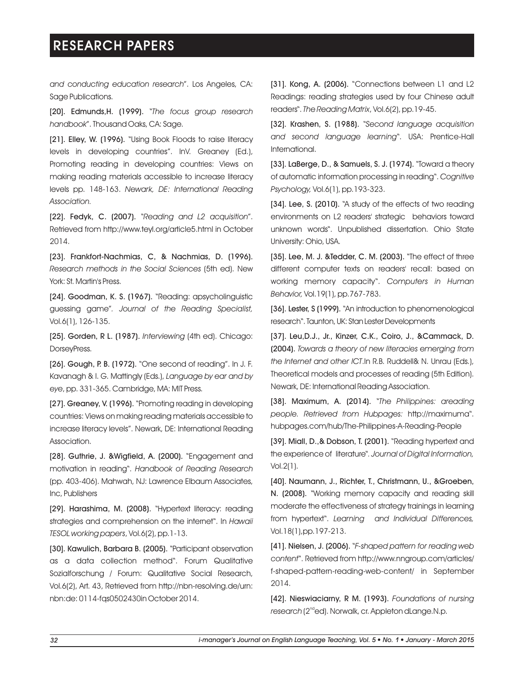*and conducting education research*". Los Angeles, CA: Sage Publications.

[20]. Edmunds,H. (1999). "*The focus group research handbook*". Thousand Oaks, CA: Sage.

[21]. Elley, W. (1996). "Using Book Floods to raise literacy levels in developing countries". InV. Greaney (Ed.), Promoting reading in developing countries: Views on making reading materials accessible to increase literacy levels pp. 148-163. *Newark, DE: International Reading Association.*

[22]. Fedyk, C. (2007). "*Reading and L2 acquisition*". Retrieved from http://www.teyl.org/article5.html in October 2014.

[23]. Frankfort-Nachmias, C, & Nachmias, D. (1996). *Research methods in the Social Sciences* (5th ed). New York: St. Martin's Press.

[24]. Goodman, K. S. (1967). "Reading: apsycholinguistic guessing game"*. Journal of the Reading Specialist,*  Vol.6(1), 126-135.

[25]. Gorden, R L. (1987). *Interviewing* (4th ed). Chicago: DorseyPress.

[26]. Gough, P. B. (1972). "One second of reading". In J. F. Kavanagh & I. G. Mattingly (Eds.), *Language by ear and by eye*, pp. 331-365. Cambridge, MA: MIT Press.

[27]. Greaney, V. (1996). "Promoting reading in developing countries: Views on making reading materials accessible to increase literacy levels". Newark, DE: International Reading Association.

[28]. Guthrie, J. &Wigfield, A. (2000). "Engagement and motivation in reading". *Handbook of Reading Research* (pp. 403-406). Mahwah, NJ: Lawrence Elbaum Associates, Inc, Publishers

[29]. Harashima, M. (2008). "Hypertext literacy: reading strategies and comprehension on the internet". In *Hawaii TESOL working papers*, Vol.6(2), pp.1-13.

[30]. Kawulich, Barbara B. (2005). "Participant observation as a data collection method". Forum Qualitative Sozialforschung / Forum: Qualitative Social Research, Vol.6(2), Art. 43, Retrieved from http://nbn-resolving.de/urn: nbn:de: 0114-fqs0502430in October 2014.

[31]. Kong, A. (2006). "Connections between L1 and L2 Readings: reading strategies used by four Chinese adult readers". The Reading Matrix, Vol.6(2), pp.19-45.

[32]. Krashen, S. (1988). "*Second language acquisition and second language learning*". USA: Prentice-Hall International.

[33]. LaBerge, D., & Samuels, S. J. (1974). "Toward a theory of automatic information processing in reading". *Cognitive Psychology,* Vol.6(1), pp.193-323.

[34]. Lee, S. (2010). "A study of the effects of two reading environments on L2 readers' strategic behaviors toward unknown words". Unpublished dissertation. Ohio State University: Ohio, USA.

[35]. Lee, M. J. &Tedder, C. M. (2003). "The effect of three different computer texts on readers' recall: based on working memory capacity". *Computers in Human Behavior,* Vol.19(1), pp.767-783.

[36]. Lester, S (1999). "An introduction to phenomenological research". Taunton, UK: Stan Lester Developments

[37]. Leu,D.J., Jr., Kinzer, C.K., Coiro, J., &Cammack, D. (2004). *Towards a theory of new literacies emerging from the Internet and other ICT*.In R.B. Ruddell& N. Unrau (Eds.), Theoretical models and processes of reading (5th Edition). Newark, DE: International Reading Association.

[38]. Maximum, A. (2014). "*The Philippines: areading people. Retrieved from Hubpages:* http://maximuma". hubpages.com/hub/The-Philippines-A-Reading-People

[39]. Miall, D.,& Dobson, T. (2001). "Reading hypertext and the experience of literature"*. Journal of Digital Information,*  Vol.2(1).

[40]. Naumann, J., Richter, T., Christmann, U., &Groeben, N. (2008). "Working memory capacity and reading skill moderate the effectiveness of strategy trainings in learning from hypertext". *Learning and Individual Differences,*  Vol.18(1),pp.197-213.

[41]. Nielsen, J. (2006). "*F-shaped pattern for reading web content*". Retrieved from http://www.nngroup.com/articles/ f-shaped-pattern-reading-web-content/ in September 2014.

[42]. Nieswiaciarny, R M. (1993). *Foundations of nursing*  research (2<sup>nd</sup>ed). Norwalk, cr. Appleton dLange.N.p.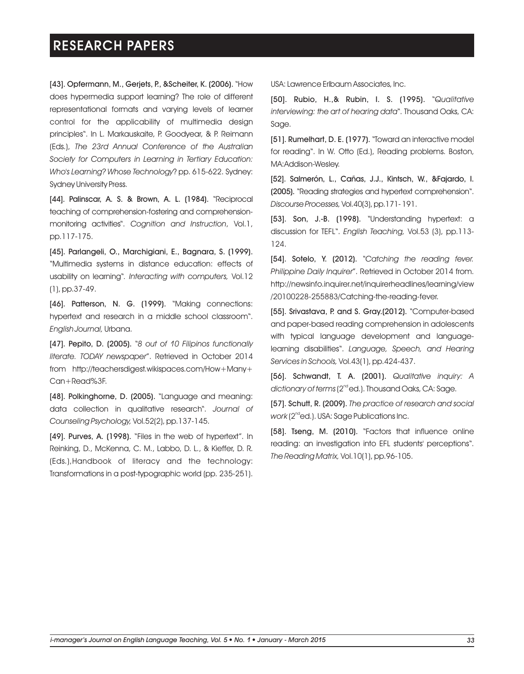[43]. Opfermann, M., Gerjets, P., &Scheiter, K. (2006). "How does hypermedia support learning? The role of different representational formats and varying levels of learner control for the applicability of multimedia design principles". In L. Markauskaite, P. Goodyear, & P. Reimann (Eds.), *The 23rd Annual Conference of the Australian Society for Computers in Learning in Tertiary Education: Who's Learning? Whose Technology*? pp. 615-622. Sydney: Sydney University Press.

[44]. Palinscar, A. S. & Brown, A. L. (1984). "Reciprocal teaching of comprehension-fostering and comprehensionmonitoring activities". *Cognition and Instruction*, Vol.1, pp.117-175.

[45]. Parlangeli, O., Marchigiani, E., Bagnara, S. (1999). "Multimedia systems in distance education: effects of usability on learning"*. Interacting with computers,* Vol.12 (1), pp.37-49.

[46]. Patterson, N. G. (1999). "Making connections: hypertext and research in a middle school classroom". *English Journal,* Urbana.

[47]. Pepito, D. (2005). "*8 out of 10 Filipinos functionally literate. TODAY newspaper*". Retrieved in October 2014 from http://teachersdigest.wikispaces.com/How+Many+ Can+Read%3F.

[48]. Polkinghorne, D. (2005). "Language and meaning: data collection in qualitative research". *Journal of Counseling Psychology,* Vol.52(2), pp.137-145.

[49]. Purves, A. (1998). "Files in the web of hypertext". In Reinking, D., McKenna, C. M., Labbo, D. L., & Kieffer, D. R. (Eds.),Handbook of literacy and the technology: Transformations in a post-typographic world (pp. 235-251).

USA: Lawrence Erlbaum Associates, Inc.

[50]. Rubio, H.,& Rubin, I. S. (1995). *Qualitative* " *interviewing: the art of hearing data*". Thousand Oaks, CA: Sage.

[51]. Rumelhart, D. E. (1977). "Toward an interactive model for reading". In W. Otto (Ed.), Reading problems. Boston, MA:Addison-Wesley.

[52]. Salmerón, L., Cañas, J.J., Kintsch, W., &Fajardo, I. (2005). "Reading strategies and hypertext comprehension". *Discourse Processes, Vol. 40(3), pp.* 171 - 191.

[53]. Son, J.-B. (1998). "Understanding hypertext: a discussion for TEFL". *English Teaching,* Vol.53 (3), pp.113- 124.

[54]. Sotelo, Y. (2012). "*Catching the reading fever. Philippine Daily Inquirer*". Retrieved in October 2014 from. http://newsinfo.inquirer.net/inquirerheadlines/learning/view /20100228-255883/Catching-the-reading-fever.

[55]. Srivastava, P. and S. Gray.(2012). "Computer-based and paper-based reading comprehension in adolescents with typical language development and languagelearning disabilities". *Language, Speech, and Hearing Services in Schools,* Vol.43(1), pp.424-437.

[56]. Schwandt, T. A. (2001). *Qualitative inquiry: A*  dictionary of terms (2<sup>nd</sup> ed.). Thousand Oaks, CA: Sage.

[57]. Schutt, R. (2009). *The practice of research and social*  work (2<sup>nd</sup>ed.). USA: Sage Publications Inc.

[58]. Tseng, M. (2010). "Factors that influence online reading: an investigation into EFL students' perceptions". *The Reading Matrix,* Vol.10(1), pp.96-105.